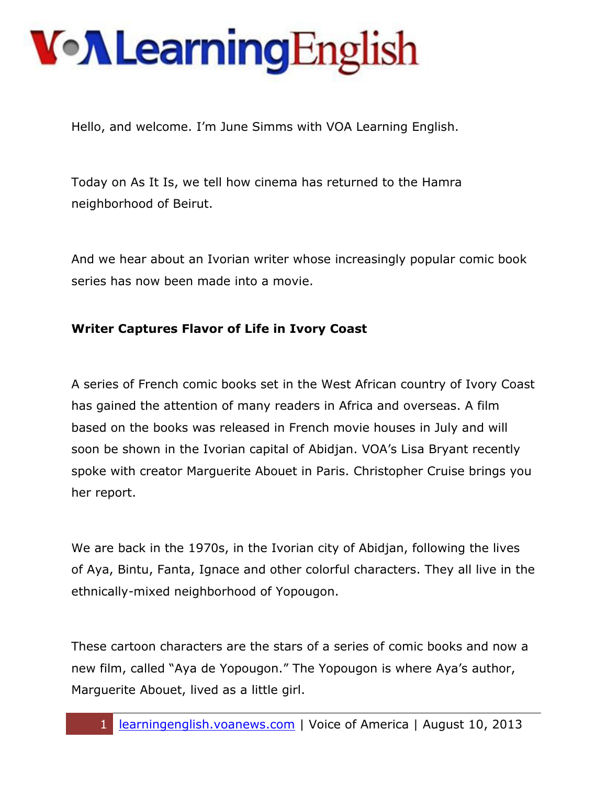Hello, and welcome. I'm June Simms with VOA Learning English.

Today on As It Is, we tell how cinema has returned to the Hamra neighborhood of Beirut.

And we hear about an Ivorian writer whose increasingly popular comic book series has now been made into a movie.

#### **Writer Captures Flavor of Life in Ivory Coast**

A series of French comic books set in the West African country of Ivory Coast has gained the attention of many readers in Africa and overseas. A film based on the books was released in French movie houses in July and will soon be shown in the Ivorian capital of Abidjan. VOA's Lisa Bryant recently spoke with creator Marguerite Abouet in Paris. Christopher Cruise brings you her report.

We are back in the 1970s, in the Ivorian city of Abidjan, following the lives of Aya, Bintu, Fanta, Ignace and other colorful characters. They all live in the ethnically-mixed neighborhood of Yopougon.

These cartoon characters are the stars of a series of comic books and now a new film, called "Aya de Yopougon." The Yopougon is where Aya's author, Marguerite Abouet, lived as a little girl.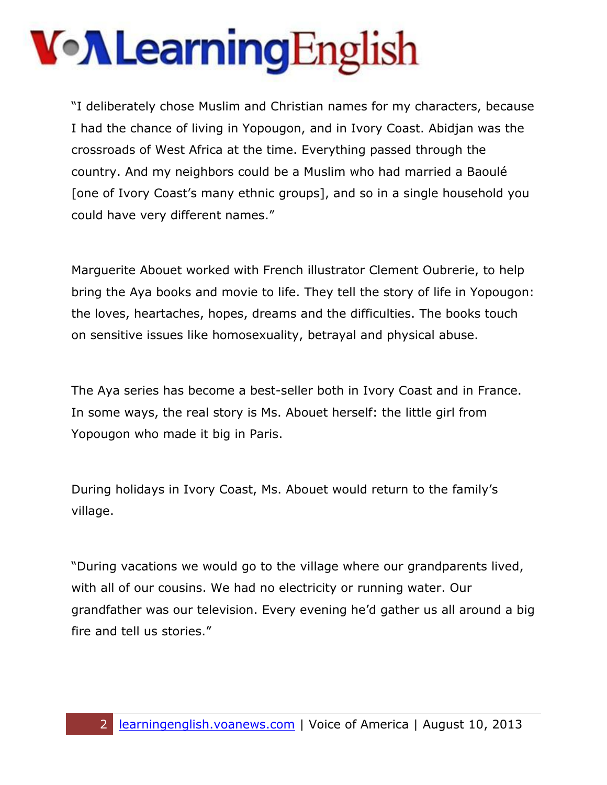## VollearningEnglish

"I deliberately chose Muslim and Christian names for my characters, because I had the chance of living in Yopougon, and in Ivory Coast. Abidjan was the crossroads of West Africa at the time. Everything passed through the country. And my neighbors could be a Muslim who had married a Baoulé [one of Ivory Coast's many ethnic groups], and so in a single household you could have very different names."

Marguerite Abouet worked with French illustrator Clement Oubrerie, to help bring the Aya books and movie to life. They tell the story of life in Yopougon: the loves, heartaches, hopes, dreams and the difficulties. The books touch on sensitive issues like homosexuality, betrayal and physical abuse.

The Aya series has become a best-seller both in Ivory Coast and in France. In some ways, the real story is Ms. Abouet herself: the little girl from Yopougon who made it big in Paris.

During holidays in Ivory Coast, Ms. Abouet would return to the family's village.

"During vacations we would go to the village where our grandparents lived, with all of our cousins. We had no electricity or running water. Our grandfather was our television. Every evening he'd gather us all around a big fire and tell us stories."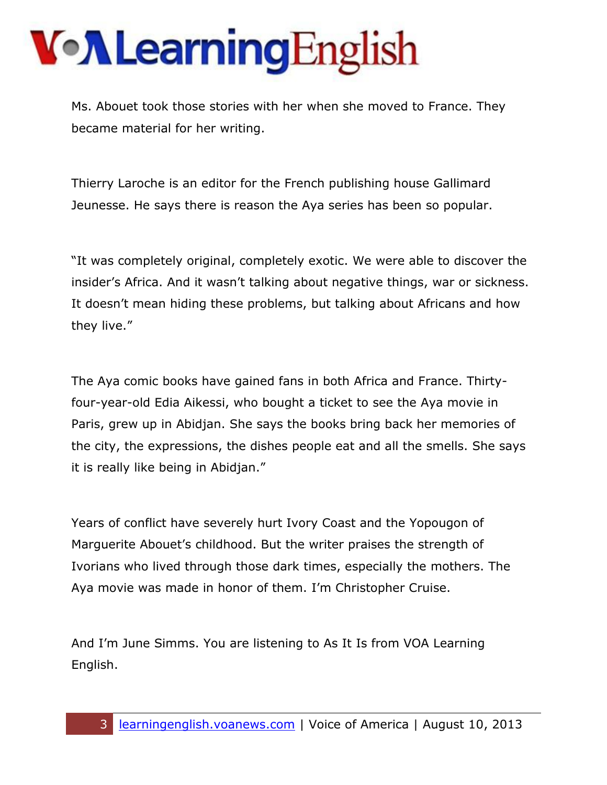Ms. Abouet took those stories with her when she moved to France. They became material for her writing.

Thierry Laroche is an editor for the French publishing house Gallimard Jeunesse. He says there is reason the Aya series has been so popular.

"It was completely original, completely exotic. We were able to discover the insider's Africa. And it wasn't talking about negative things, war or sickness. It doesn't mean hiding these problems, but talking about Africans and how they live."

The Aya comic books have gained fans in both Africa and France. Thirtyfour-year-old Edia Aikessi, who bought a ticket to see the Aya movie in Paris, grew up in Abidjan. She says the books bring back her memories of the city, the expressions, the dishes people eat and all the smells. She says it is really like being in Abidjan."

Years of conflict have severely hurt Ivory Coast and the Yopougon of Marguerite Abouet's childhood. But the writer praises the strength of Ivorians who lived through those dark times, especially the mothers. The Aya movie was made in honor of them. I'm Christopher Cruise.

And I'm June Simms. You are listening to As It Is from VOA Learning English.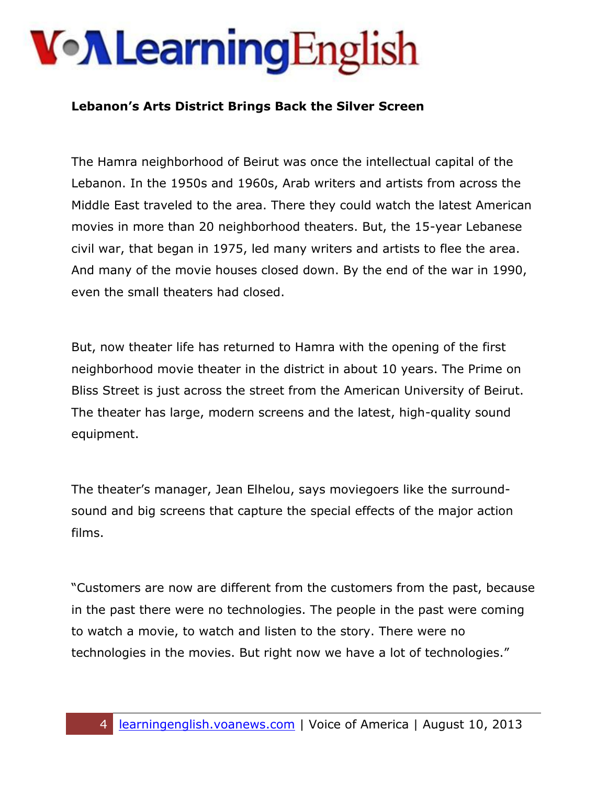#### **Lebanon's Arts District Brings Back the Silver Screen**

The Hamra neighborhood of Beirut was once the intellectual capital of the Lebanon. In the 1950s and 1960s, Arab writers and artists from across the Middle East traveled to the area. There they could watch the latest American movies in more than 20 neighborhood theaters. But, the 15-year Lebanese civil war, that began in 1975, led many writers and artists to flee the area. And many of the movie houses closed down. By the end of the war in 1990, even the small theaters had closed.

But, now theater life has returned to Hamra with the opening of the first neighborhood movie theater in the district in about 10 years. The Prime on Bliss Street is just across the street from the American University of Beirut. The theater has large, modern screens and the latest, high-quality sound equipment.

The theater's manager, Jean Elhelou, says moviegoers like the surroundsound and big screens that capture the special effects of the major action films.

"Customers are now are different from the customers from the past, because in the past there were no technologies. The people in the past were coming to watch a movie, to watch and listen to the story. There were no technologies in the movies. But right now we have a lot of technologies."